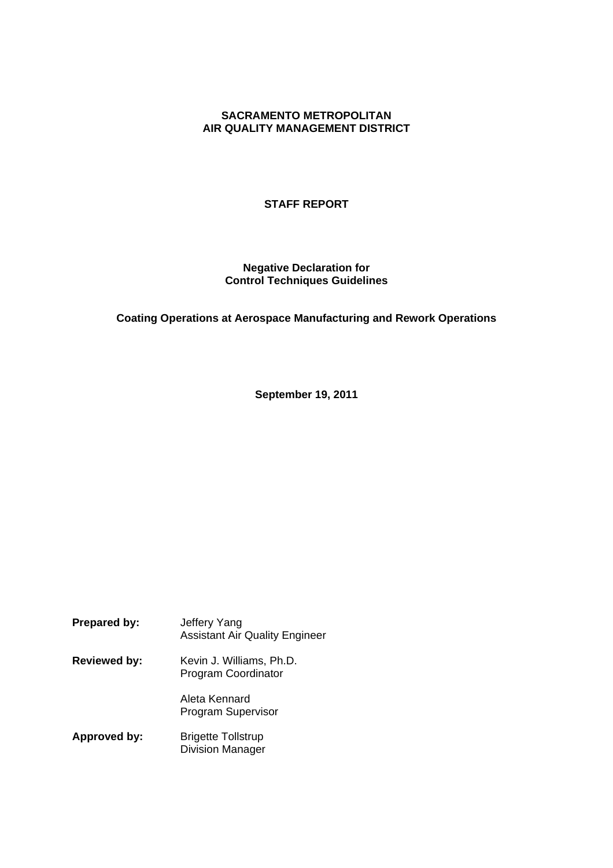# **SACRAMENTO METROPOLITAN AIR QUALITY MANAGEMENT DISTRICT**

## **STAFF REPORT**

## **Negative Declaration for Control Techniques Guidelines**

## **Coating Operations at Aerospace Manufacturing and Rework Operations**

**September 19, 2011**

**Prepared by:** Jeffery Yang Assistant Air Quality Engineer **Reviewed by:** Kevin J. Williams, Ph.D. Program Coordinator Aleta Kennard Program Supervisor **Approved by:** Brigette Tollstrup

Division Manager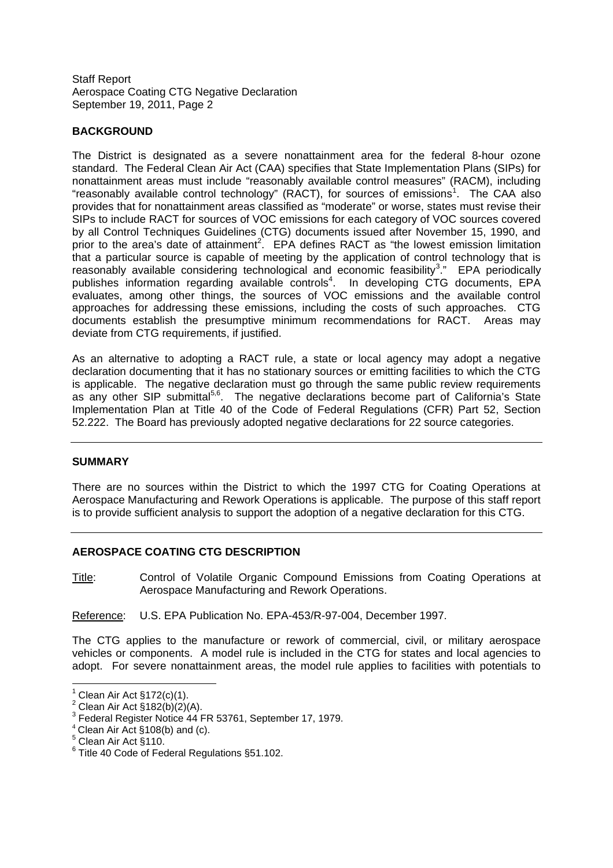Staff Report Aerospace Coating CTG Negative Declaration September 19, 2011, Page 2

# **BACKGROUND**

The District is designated as a severe nonattainment area for the federal 8-hour ozone standard. The Federal Clean Air Act (CAA) specifies that State Implementation Plans (SIPs) for nonattainment areas must include "reasonably available control measures" (RACM), including "reasonably available control technology" (RACT), for sources of emissions<sup>1</sup>. The CAA also provides that for nonattainment areas classified as "moderate" or worse, states must revise their SIPs to include RACT for sources of VOC emissions for each category of VOC sources covered by all Control Techniques Guidelines (CTG) documents issued after November 15, 1990, and prior to the area's date of attainment<sup>2</sup>. EPA defines RACT as "the lowest emission limitation that a particular source is capable of meeting by the application of control technology that is reasonably available considering technological and economic feasibility<sup>3</sup>." EPA periodically publishes information regarding available controls<sup>4</sup>. In developing CTG documents, EPA evaluates, among other things, the sources of VOC emissions and the available control approaches for addressing these emissions, including the costs of such approaches. CTG documents establish the presumptive minimum recommendations for RACT. Areas may deviate from CTG requirements, if justified.

As an alternative to adopting a RACT rule, a state or local agency may adopt a negative declaration documenting that it has no stationary sources or emitting facilities to which the CTG is applicable. The negative declaration must go through the same public review requirements as any other SIP submittal<sup>5,6</sup>. The negative declarations become part of California's State Implementation Plan at Title 40 of the Code of Federal Regulations (CFR) Part 52, Section 52.222. The Board has previously adopted negative declarations for 22 source categories.

#### **SUMMARY**

There are no sources within the District to which the 1997 CTG for Coating Operations at Aerospace Manufacturing and Rework Operations is applicable. The purpose of this staff report is to provide sufficient analysis to support the adoption of a negative declaration for this CTG.

#### **AEROSPACE COATING CTG DESCRIPTION**

Title: Control of Volatile Organic Compound Emissions from Coating Operations at Aerospace Manufacturing and Rework Operations.

Reference: U.S. EPA Publication No. EPA-453/R-97-004, December 1997.

The CTG applies to the manufacture or rework of commercial, civil, or military aerospace vehicles or components. A model rule is included in the CTG for states and local agencies to adopt. For severe nonattainment areas, the model rule applies to facilities with potentials to

 $1$  Clean Air Act §172(c)(1).

 $2$  Clean Air Act  $\frac{\tilde{S}}{182(b)}(2)(A)$ .

<sup>&</sup>lt;sup>3</sup> Federal Register Notice 44 FR 53761, September 17, 1979.

 $4$  Clean Air Act §108(b) and (c).

 $5$  Clean Air Act  $\S$ 110.

<sup>6</sup> Title 40 Code of Federal Regulations §51.102.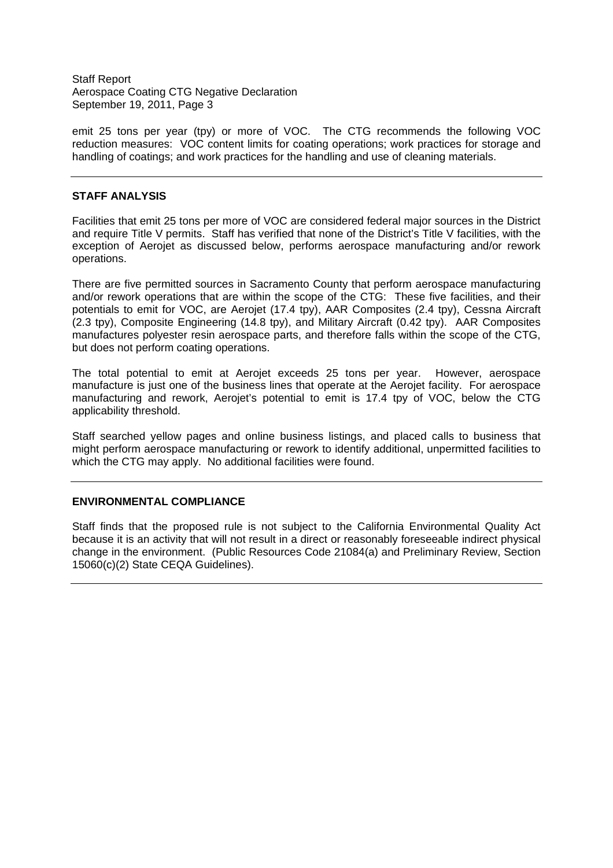Staff Report Aerospace Coating CTG Negative Declaration September 19, 2011, Page 3

emit 25 tons per year (tpy) or more of VOC. The CTG recommends the following VOC reduction measures: VOC content limits for coating operations; work practices for storage and handling of coatings; and work practices for the handling and use of cleaning materials.

#### **STAFF ANALYSIS**

Facilities that emit 25 tons per more of VOC are considered federal major sources in the District and require Title V permits. Staff has verified that none of the District's Title V facilities, with the exception of Aerojet as discussed below, performs aerospace manufacturing and/or rework operations.

There are five permitted sources in Sacramento County that perform aerospace manufacturing and/or rework operations that are within the scope of the CTG: These five facilities, and their potentials to emit for VOC, are Aerojet (17.4 tpy), AAR Composites (2.4 tpy), Cessna Aircraft (2.3 tpy), Composite Engineering (14.8 tpy), and Military Aircraft (0.42 tpy). AAR Composites manufactures polyester resin aerospace parts, and therefore falls within the scope of the CTG, but does not perform coating operations.

The total potential to emit at Aerojet exceeds 25 tons per year. However, aerospace manufacture is just one of the business lines that operate at the Aerojet facility. For aerospace manufacturing and rework, Aerojet's potential to emit is 17.4 tpy of VOC, below the CTG applicability threshold.

Staff searched yellow pages and online business listings, and placed calls to business that might perform aerospace manufacturing or rework to identify additional, unpermitted facilities to which the CTG may apply. No additional facilities were found.

## **ENVIRONMENTAL COMPLIANCE**

Staff finds that the proposed rule is not subject to the California Environmental Quality Act because it is an activity that will not result in a direct or reasonably foreseeable indirect physical change in the environment. (Public Resources Code 21084(a) and Preliminary Review, Section 15060(c)(2) State CEQA Guidelines).